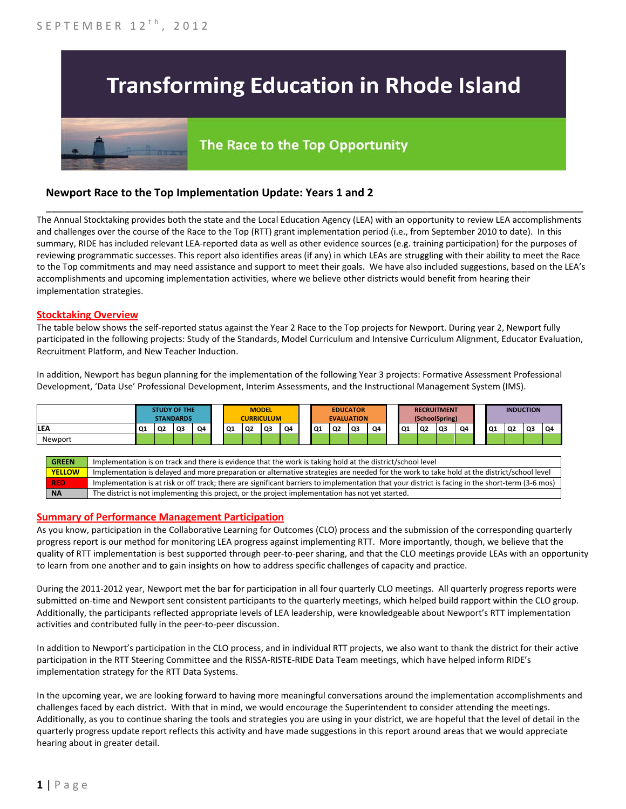# **Transforming Education in Rhode Island**

# The Race to the Top Opportunity

## **Newport Race to the Top Implementation Update: Years 1 and 2**

The Annual Stocktaking provides both the state and the Local Education Agency (LEA) with an opportunity to review LEA accomplishments and challenges over the course of the Race to the Top (RTT) grant implementation period (i.e., from September 2010 to date). In this summary, RIDE has included relevant LEA-reported data as well as other evidence sources (e.g. training participation) for the purposes of reviewing programmatic successes. This report also identifies areas (if any) in which LEAs are struggling with their ability to meet the Race to the Top commitments and may need assistance and support to meet their goals. We have also included suggestions, based on the LEA's accomplishments and upcoming implementation activities, where we believe other districts would benefit from hearing their implementation strategies.

\_\_\_\_\_\_\_\_\_\_\_\_\_\_\_\_\_\_\_\_\_\_\_\_\_\_\_\_\_\_\_\_\_\_\_\_\_\_\_\_\_\_\_\_\_\_\_\_\_\_\_\_\_\_\_\_\_\_\_\_\_\_\_\_\_\_\_\_\_\_\_\_\_\_\_\_\_\_\_\_\_\_\_\_\_\_\_\_\_\_\_\_\_\_\_\_

#### **Stocktaking Overview**

The table below shows the self-reported status against the Year 2 Race to the Top projects for Newport. During year 2, Newport fully participated in the following projects: Study of the Standards, Model Curriculum and Intensive Curriculum Alignment, Educator Evaluation, Recruitment Platform, and New Teacher Induction.

In addition, Newport has begun planning for the implementation of the following Year 3 projects: Formative Assessment Professional Development, 'Data Use' Professional Development, Interim Assessments, and the Instructional Management System (IMS).



#### **Summary of Performance Management Participation**

As you know, participation in the Collaborative Learning for Outcomes (CLO) process and the submission of the corresponding quarterly progress report is our method for monitoring LEA progress against implementing RTT. More importantly, though, we believe that the quality of RTT implementation is best supported through peer-to-peer sharing, and that the CLO meetings provide LEAs with an opportunity to learn from one another and to gain insights on how to address specific challenges of capacity and practice.

During the 2011-2012 year, Newport met the bar for participation in all four quarterly CLO meetings. All quarterly progress reports were submitted on-time and Newport sent consistent participants to the quarterly meetings, which helped build rapport within the CLO group. Additionally, the participants reflected appropriate levels of LEA leadership, were knowledgeable about Newport's RTT implementation activities and contributed fully in the peer-to-peer discussion.

In addition to Newport's participation in the CLO process, and in individual RTT projects, we also want to thank the district for their active participation in the RTT Steering Committee and the RISSA-RISTE-RIDE Data Team meetings, which have helped inform RIDE's implementation strategy for the RTT Data Systems.

In the upcoming year, we are looking forward to having more meaningful conversations around the implementation accomplishments and challenges faced by each district. With that in mind, we would encourage the Superintendent to consider attending the meetings. Additionally, as you to continue sharing the tools and strategies you are using in your district, we are hopeful that the level of detail in the quarterly progress update report reflects this activity and have made suggestions in this report around areas that we would appreciate hearing about in greater detail.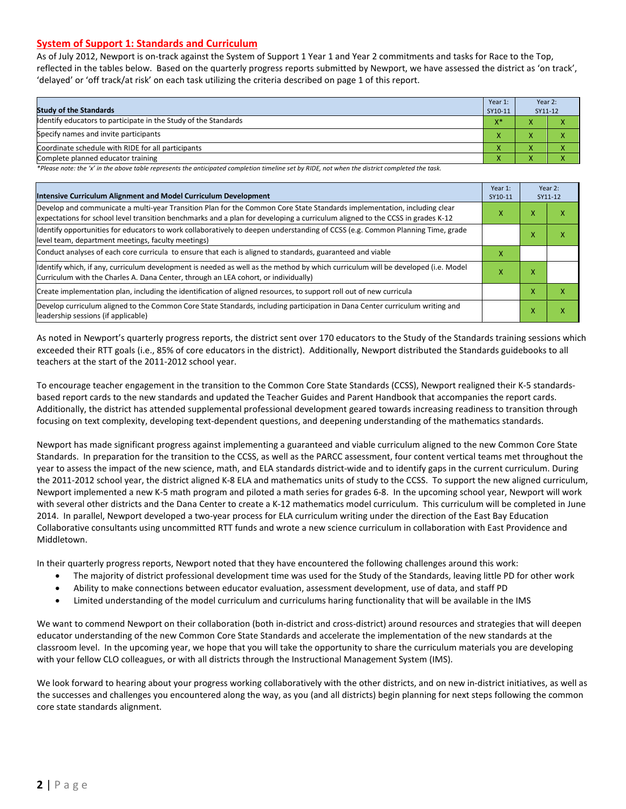#### **System of Support 1: Standards and Curriculum**

As of July 2012, Newport is on-track against the System of Support 1 Year 1 and Year 2 commitments and tasks for Race to the Top, reflected in the tables below. Based on the quarterly progress reports submitted by Newport, we have assessed the district as 'on track', 'delayed' or 'off track/at risk' on each task utilizing the criteria described on page 1 of this report.

| <b>Study of the Standards</b>                                   | Year 1:<br>SY10-11 | Year 2:<br>SY11-12 |  |
|-----------------------------------------------------------------|--------------------|--------------------|--|
| Identify educators to participate in the Study of the Standards | $X^*$              |                    |  |
| Specify names and invite participants                           |                    |                    |  |
| Coordinate schedule with RIDE for all participants              |                    |                    |  |
| Complete planned educator training                              | $\mathbf{\Lambda}$ |                    |  |

*\*Please note: the 'x' in the above table represents the anticipated completion timeline set by RIDE, not when the district completed the task.*

| Intensive Curriculum Alignment and Model Curriculum Development                                                                                                                                                                                           |   |   | Year 2:<br>SY11-12 |
|-----------------------------------------------------------------------------------------------------------------------------------------------------------------------------------------------------------------------------------------------------------|---|---|--------------------|
| Develop and communicate a multi-year Transition Plan for the Common Core State Standards implementation, including clear<br>expectations for school level transition benchmarks and a plan for developing a curriculum aligned to the CCSS in grades K-12 | x | x | ⋏                  |
| Identify opportunities for educators to work collaboratively to deepen understanding of CCSS (e.g. Common Planning Time, grade<br>level team, department meetings, faculty meetings)                                                                      |   | ⋏ | χ                  |
| Conduct analyses of each core curricula to ensure that each is aligned to standards, guaranteed and viable                                                                                                                                                | X |   |                    |
| ldentify which, if any, curriculum development is needed as well as the method by which curriculum will be developed (i.e. Model<br>Curriculum with the Charles A. Dana Center, through an LEA cohort, or individually)                                   | x | x |                    |
| Create implementation plan, including the identification of aligned resources, to support roll out of new curricula                                                                                                                                       |   | x | χ                  |
| Develop curriculum aligned to the Common Core State Standards, including participation in Dana Center curriculum writing and<br>leadership sessions (if applicable)                                                                                       |   | x | χ                  |

As noted in Newport's quarterly progress reports, the district sent over 170 educators to the Study of the Standards training sessions which exceeded their RTT goals (i.e., 85% of core educators in the district). Additionally, Newport distributed the Standards guidebooks to all teachers at the start of the 2011-2012 school year.

To encourage teacher engagement in the transition to the Common Core State Standards (CCSS), Newport realigned their K-5 standardsbased report cards to the new standards and updated the Teacher Guides and Parent Handbook that accompanies the report cards. Additionally, the district has attended supplemental professional development geared towards increasing readiness to transition through focusing on text complexity, developing text-dependent questions, and deepening understanding of the mathematics standards.

Newport has made significant progress against implementing a guaranteed and viable curriculum aligned to the new Common Core State Standards. In preparation for the transition to the CCSS, as well as the PARCC assessment, four content vertical teams met throughout the year to assess the impact of the new science, math, and ELA standards district-wide and to identify gaps in the current curriculum. During the 2011-2012 school year, the district aligned K-8 ELA and mathematics units of study to the CCSS. To support the new aligned curriculum, Newport implemented a new K-5 math program and piloted a math series for grades 6-8. In the upcoming school year, Newport will work with several other districts and the Dana Center to create a K-12 mathematics model curriculum. This curriculum will be completed in June 2014. In parallel, Newport developed a two-year process for ELA curriculum writing under the direction of the East Bay Education Collaborative consultants using uncommitted RTT funds and wrote a new science curriculum in collaboration with East Providence and Middletown.

In their quarterly progress reports, Newport noted that they have encountered the following challenges around this work:

- The majority of district professional development time was used for the Study of the Standards, leaving little PD for other work
- Ability to make connections between educator evaluation, assessment development, use of data, and staff PD
- Limited understanding of the model curriculum and curriculums haring functionality that will be available in the IMS

We want to commend Newport on their collaboration (both in-district and cross-district) around resources and strategies that will deepen educator understanding of the new Common Core State Standards and accelerate the implementation of the new standards at the classroom level. In the upcoming year, we hope that you will take the opportunity to share the curriculum materials you are developing with your fellow CLO colleagues, or with all districts through the Instructional Management System (IMS).

We look forward to hearing about your progress working collaboratively with the other districts, and on new in-district initiatives, as well as the successes and challenges you encountered along the way, as you (and all districts) begin planning for next steps following the common core state standards alignment.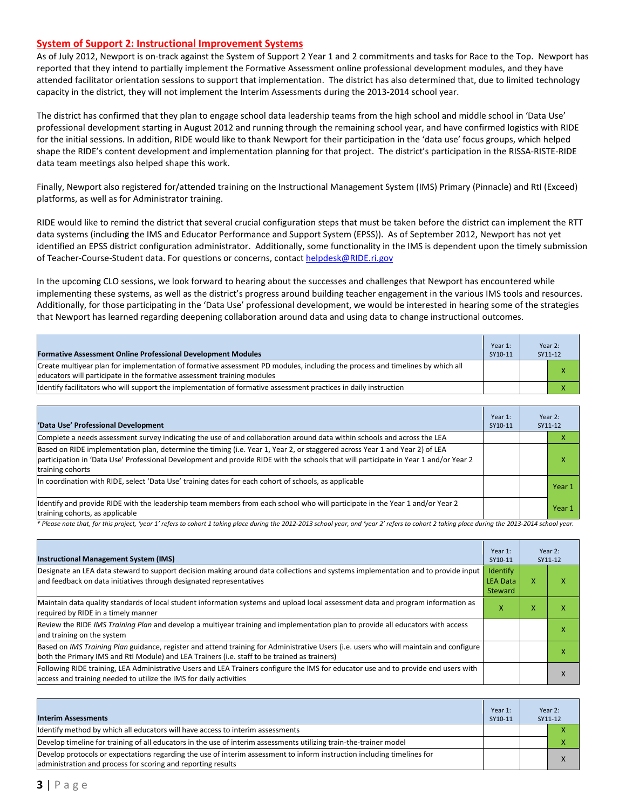#### **System of Support 2: Instructional Improvement Systems**

As of July 2012, Newport is on-track against the System of Support 2 Year 1 and 2 commitments and tasks for Race to the Top. Newport has reported that they intend to partially implement the Formative Assessment online professional development modules, and they have attended facilitator orientation sessions to support that implementation. The district has also determined that, due to limited technology capacity in the district, they will not implement the Interim Assessments during the 2013-2014 school year.

The district has confirmed that they plan to engage school data leadership teams from the high school and middle school in 'Data Use' professional development starting in August 2012 and running through the remaining school year, and have confirmed logistics with RIDE for the initial sessions. In addition, RIDE would like to thank Newport for their participation in the 'data use' focus groups, which helped shape the RIDE's content development and implementation planning for that project. The district's participation in the RISSA-RISTE-RIDE data team meetings also helped shape this work.

Finally, Newport also registered for/attended training on the Instructional Management System (IMS) Primary (Pinnacle) and RtI (Exceed) platforms, as well as for Administrator training.

RIDE would like to remind the district that several crucial configuration steps that must be taken before the district can implement the RTT data systems (including the IMS and Educator Performance and Support System (EPSS)). As of September 2012, Newport has not yet identified an EPSS district configuration administrator. Additionally, some functionality in the IMS is dependent upon the timely submission of Teacher-Course-Student data. For questions or concerns, contac[t helpdesk@RIDE.ri.gov](mailto:helpdesk@RIDE.ri.gov)

In the upcoming CLO sessions, we look forward to hearing about the successes and challenges that Newport has encountered while implementing these systems, as well as the district's progress around building teacher engagement in the various IMS tools and resources. Additionally, for those participating in the 'Data Use' professional development, we would be interested in hearing some of the strategies that Newport has learned regarding deepening collaboration around data and using data to change instructional outcomes.

| <b>Formative Assessment Online Professional Development Modules</b>                                                                                                                                      | Year 1:<br>SY10-11 | Year 2:<br>SY11-12 |
|----------------------------------------------------------------------------------------------------------------------------------------------------------------------------------------------------------|--------------------|--------------------|
| Create multiyear plan for implementation of formative assessment PD modules, including the process and timelines by which all<br>educators will participate in the formative assessment training modules |                    | x                  |
| Identify facilitators who will support the implementation of formative assessment practices in daily instruction                                                                                         |                    |                    |

| 'Data Use' Professional Development                                                                                                                                                                                                                                                     | Year 1:<br>SY10-11 | Year 2:<br>SY11-12 |
|-----------------------------------------------------------------------------------------------------------------------------------------------------------------------------------------------------------------------------------------------------------------------------------------|--------------------|--------------------|
| Complete a needs assessment survey indicating the use of and collaboration around data within schools and across the LEA                                                                                                                                                                |                    |                    |
| Based on RIDE implementation plan, determine the timing (i.e. Year 1, Year 2, or staggered across Year 1 and Year 2) of LEA<br>participation in 'Data Use' Professional Development and provide RIDE with the schools that will participate in Year 1 and/or Year 2<br>training cohorts |                    |                    |
| In coordination with RIDE, select 'Data Use' training dates for each cohort of schools, as applicable                                                                                                                                                                                   |                    | Year 1             |
| ldentify and provide RIDE with the leadership team members from each school who will participate in the Year 1 and/or Year 2<br>training cohorts, as applicable                                                                                                                         |                    | Year 1             |

*\* Please note that, for this project, 'year 1' refers to cohort 1 taking place during the 2012-2013 school year, and 'year 2' refers to cohort 2 taking place during the 2013-2014 school year.*

| <b>Instructional Management System (IMS)</b>                                                                                                                                                                                           | Year 1:<br>SY10-11                     |   | Year 2:<br>SY11-12 |
|----------------------------------------------------------------------------------------------------------------------------------------------------------------------------------------------------------------------------------------|----------------------------------------|---|--------------------|
| Designate an LEA data steward to support decision making around data collections and systems implementation and to provide input<br>and feedback on data initiatives through designated representatives                                | Identify<br><b>LEA Data</b><br>Steward | X |                    |
| Maintain data quality standards of local student information systems and upload local assessment data and program information as<br>required by RIDE in a timely manner                                                                | x                                      | x | л                  |
| Review the RIDE IMS Training Plan and develop a multivear training and implementation plan to provide all educators with access<br>and training on the system                                                                          |                                        |   |                    |
| Based on IMS Training Plan guidance, register and attend training for Administrative Users (i.e. users who will maintain and configure<br>both the Primary IMS and RtI Module) and LEA Trainers (i.e. staff to be trained as trainers) |                                        |   | ⋏                  |
| Following RIDE training, LEA Administrative Users and LEA Trainers configure the IMS for educator use and to provide end users with<br>access and training needed to utilize the IMS for daily activities                              |                                        |   | $\lambda$          |

| <b>Interim Assessments</b>                                                                                                                                                              | Year 1:<br>SY10-11 | Year 2:<br>SY11-12 |
|-----------------------------------------------------------------------------------------------------------------------------------------------------------------------------------------|--------------------|--------------------|
| Identify method by which all educators will have access to interim assessments                                                                                                          |                    |                    |
| Develop timeline for training of all educators in the use of interim assessments utilizing train-the-trainer model                                                                      |                    |                    |
| Develop protocols or expectations regarding the use of interim assessment to inform instruction including timelines for<br>administration and process for scoring and reporting results |                    | X                  |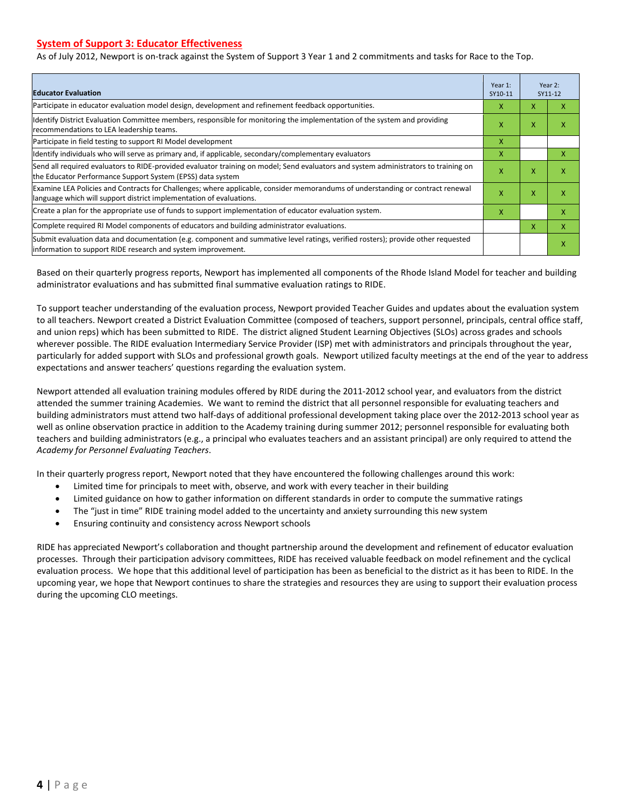#### **System of Support 3: Educator Effectiveness**

As of July 2012, Newport is on-track against the System of Support 3 Year 1 and 2 commitments and tasks for Race to the Top.

| <b>Educator Evaluation</b>                                                                                                                                                                            |   |   | Year 2:<br>SY11-12 |
|-------------------------------------------------------------------------------------------------------------------------------------------------------------------------------------------------------|---|---|--------------------|
| Participate in educator evaluation model design, development and refinement feedback opportunities.                                                                                                   |   | X | x                  |
| Identify District Evaluation Committee members, responsible for monitoring the implementation of the system and providing<br>recommendations to LEA leadership teams.                                 |   |   | χ                  |
| Participate in field testing to support RI Model development                                                                                                                                          | x |   |                    |
| Identify individuals who will serve as primary and, if applicable, secondary/complementary evaluators                                                                                                 | x |   | x                  |
| Send all required evaluators to RIDE-provided evaluator training on model; Send evaluators and system administrators to training on<br>the Educator Performance Support System (EPSS) data system     | X | X | χ                  |
| Examine LEA Policies and Contracts for Challenges; where applicable, consider memorandums of understanding or contract renewal<br>language which will support district implementation of evaluations. |   | X | x                  |
| Create a plan for the appropriate use of funds to support implementation of educator evaluation system.                                                                                               |   |   | x                  |
| Complete required RI Model components of educators and building administrator evaluations.                                                                                                            |   |   | X                  |
| Submit evaluation data and documentation (e.g. component and summative level ratings, verified rosters); provide other requested<br>information to support RIDE research and system improvement.      |   |   | χ                  |

Based on their quarterly progress reports, Newport has implemented all components of the Rhode Island Model for teacher and building administrator evaluations and has submitted final summative evaluation ratings to RIDE.

To support teacher understanding of the evaluation process, Newport provided Teacher Guides and updates about the evaluation system to all teachers. Newport created a District Evaluation Committee (composed of teachers, support personnel, principals, central office staff, and union reps) which has been submitted to RIDE. The district aligned Student Learning Objectives (SLOs) across grades and schools wherever possible. The RIDE evaluation Intermediary Service Provider (ISP) met with administrators and principals throughout the year, particularly for added support with SLOs and professional growth goals. Newport utilized faculty meetings at the end of the year to address expectations and answer teachers' questions regarding the evaluation system.

Newport attended all evaluation training modules offered by RIDE during the 2011-2012 school year, and evaluators from the district attended the summer training Academies. We want to remind the district that all personnel responsible for evaluating teachers and building administrators must attend two half-days of additional professional development taking place over the 2012-2013 school year as well as online observation practice in addition to the Academy training during summer 2012; personnel responsible for evaluating both teachers and building administrators (e.g., a principal who evaluates teachers and an assistant principal) are only required to attend the *Academy for Personnel Evaluating Teachers*.

In their quarterly progress report, Newport noted that they have encountered the following challenges around this work:

- Limited time for principals to meet with, observe, and work with every teacher in their building
- Limited guidance on how to gather information on different standards in order to compute the summative ratings
- The "just in time" RIDE training model added to the uncertainty and anxiety surrounding this new system
- Ensuring continuity and consistency across Newport schools

RIDE has appreciated Newport's collaboration and thought partnership around the development and refinement of educator evaluation processes. Through their participation advisory committees, RIDE has received valuable feedback on model refinement and the cyclical evaluation process. We hope that this additional level of participation has been as beneficial to the district as it has been to RIDE. In the upcoming year, we hope that Newport continues to share the strategies and resources they are using to support their evaluation process during the upcoming CLO meetings.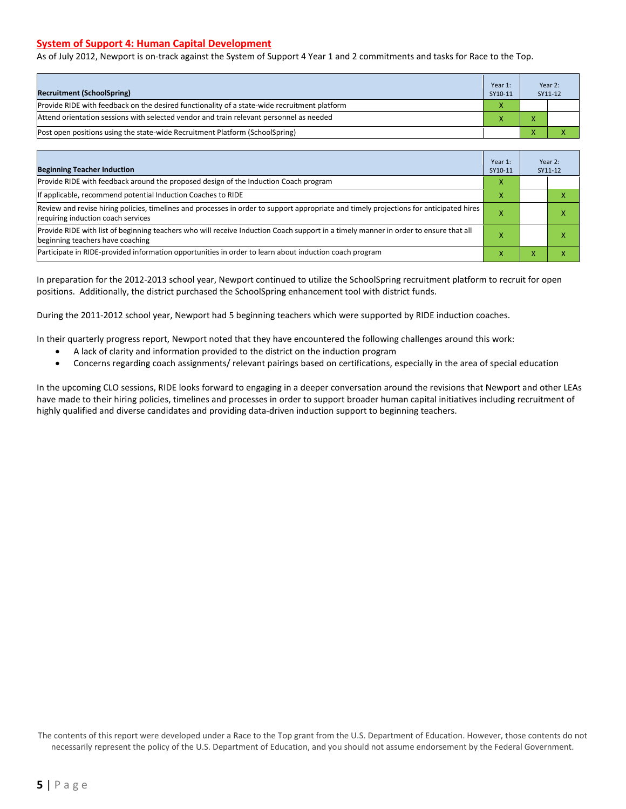#### **System of Support 4: Human Capital Development**

As of July 2012, Newport is on-track against the System of Support 4 Year 1 and 2 commitments and tasks for Race to the Top.

| <b>Recruitment (SchoolSpring)</b>                                                            | Year 1:<br>SY10-11 | Year 2:<br>SY11-12 |
|----------------------------------------------------------------------------------------------|--------------------|--------------------|
| Provide RIDE with feedback on the desired functionality of a state-wide recruitment platform |                    |                    |
| Attend orientation sessions with selected vendor and train relevant personnel as needed      |                    |                    |
| (Post open positions using the state-wide Recruitment Platform (SchoolSpring)                |                    |                    |

| <b>Beginning Teacher Induction</b>                                                                                                                                            | Year 1:<br>SY10-11 |   | Year 2:<br>SY11-12 |
|-------------------------------------------------------------------------------------------------------------------------------------------------------------------------------|--------------------|---|--------------------|
| Provide RIDE with feedback around the proposed design of the Induction Coach program                                                                                          | x                  |   |                    |
| If applicable, recommend potential Induction Coaches to RIDE                                                                                                                  |                    |   |                    |
| Review and revise hiring policies, timelines and processes in order to support appropriate and timely projections for anticipated hires<br>requiring induction coach services |                    |   | ⋏                  |
| Provide RIDE with list of beginning teachers who will receive Induction Coach support in a timely manner in order to ensure that all<br>beginning teachers have coaching      |                    |   |                    |
| Participate in RIDE-provided information opportunities in order to learn about induction coach program                                                                        |                    | v |                    |

In preparation for the 2012-2013 school year, Newport continued to utilize the SchoolSpring recruitment platform to recruit for open positions. Additionally, the district purchased the SchoolSpring enhancement tool with district funds.

During the 2011-2012 school year, Newport had 5 beginning teachers which were supported by RIDE induction coaches.

In their quarterly progress report, Newport noted that they have encountered the following challenges around this work:

- A lack of clarity and information provided to the district on the induction program
- Concerns regarding coach assignments/ relevant pairings based on certifications, especially in the area of special education

In the upcoming CLO sessions, RIDE looks forward to engaging in a deeper conversation around the revisions that Newport and other LEAs have made to their hiring policies, timelines and processes in order to support broader human capital initiatives including recruitment of highly qualified and diverse candidates and providing data-driven induction support to beginning teachers.

The contents of this report were developed under a Race to the Top grant from the U.S. Department of Education. However, those contents do not necessarily represent the policy of the U.S. Department of Education, and you should not assume endorsement by the Federal Government.